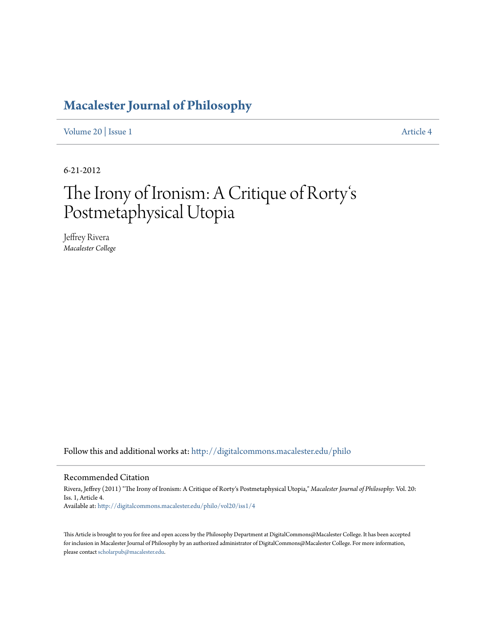# **[Macalester Journal of Philosophy](http://digitalcommons.macalester.edu/philo?utm_source=digitalcommons.macalester.edu%2Fphilo%2Fvol20%2Fiss1%2F4&utm_medium=PDF&utm_campaign=PDFCoverPages)**

[Volume 20](http://digitalcommons.macalester.edu/philo/vol20?utm_source=digitalcommons.macalester.edu%2Fphilo%2Fvol20%2Fiss1%2F4&utm_medium=PDF&utm_campaign=PDFCoverPages) | [Issue 1](http://digitalcommons.macalester.edu/philo/vol20/iss1?utm_source=digitalcommons.macalester.edu%2Fphilo%2Fvol20%2Fiss1%2F4&utm_medium=PDF&utm_campaign=PDFCoverPages) [Article 4](http://digitalcommons.macalester.edu/philo/vol20/iss1/4?utm_source=digitalcommons.macalester.edu%2Fphilo%2Fvol20%2Fiss1%2F4&utm_medium=PDF&utm_campaign=PDFCoverPages)

6-21-2012

### The Irony of Ironism: A Critique of Rorty s  $\frac{1}{2}$ Postmetaphysical Utopia

Jeffrey Rivera *Macalester College*

Follow this and additional works at: [http://digitalcommons.macalester.edu/philo](http://digitalcommons.macalester.edu/philo?utm_source=digitalcommons.macalester.edu%2Fphilo%2Fvol20%2Fiss1%2F4&utm_medium=PDF&utm_campaign=PDFCoverPages)

#### Recommended Citation

Rivera, Jeffrey (2011) "The Irony of Ironism: A Critique of Rorty's Postmetaphysical Utopia," *Macalester Journal of Philosophy*: Vol. 20: Iss. 1, Article 4. Available at: [http://digitalcommons.macalester.edu/philo/vol20/iss1/4](http://digitalcommons.macalester.edu/philo/vol20/iss1/4?utm_source=digitalcommons.macalester.edu%2Fphilo%2Fvol20%2Fiss1%2F4&utm_medium=PDF&utm_campaign=PDFCoverPages)

This Article is brought to you for free and open access by the Philosophy Department at DigitalCommons@Macalester College. It has been accepted for inclusion in Macalester Journal of Philosophy by an authorized administrator of DigitalCommons@Macalester College. For more information, please contact [scholarpub@macalester.edu.](mailto:scholarpub@macalester.edu)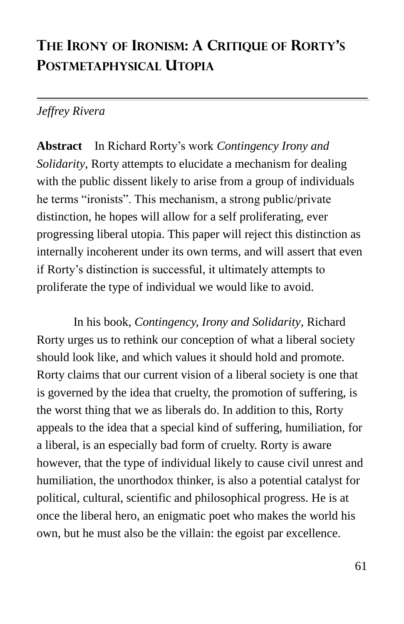## **THE IRONY OF IRONISM: A CRITIQUE OF RORTY'S POSTMETAPHYSICAL UTOPIA**

### *Jeffrey Rivera*

**Abstract** In Richard Rorty's work *Contingency Irony and Solidarity*, Rorty attempts to elucidate a mechanism for dealing with the public dissent likely to arise from a group of individuals he terms "ironists". This mechanism, a strong public/private distinction, he hopes will allow for a self proliferating, ever progressing liberal utopia. This paper will reject this distinction as internally incoherent under its own terms, and will assert that even if Rorty's distinction is successful, it ultimately attempts to proliferate the type of individual we would like to avoid.

In his book, *Contingency, Irony and Solidarity*, Richard Rorty urges us to rethink our conception of what a liberal society should look like, and which values it should hold and promote. Rorty claims that our current vision of a liberal society is one that is governed by the idea that cruelty, the promotion of suffering, is the worst thing that we as liberals do. In addition to this, Rorty appeals to the idea that a special kind of suffering, humiliation, for a liberal, is an especially bad form of cruelty. Rorty is aware however, that the type of individual likely to cause civil unrest and humiliation, the unorthodox thinker, is also a potential catalyst for political, cultural, scientific and philosophical progress. He is at once the liberal hero, an enigmatic poet who makes the world his own, but he must also be the villain: the egoist par excellence.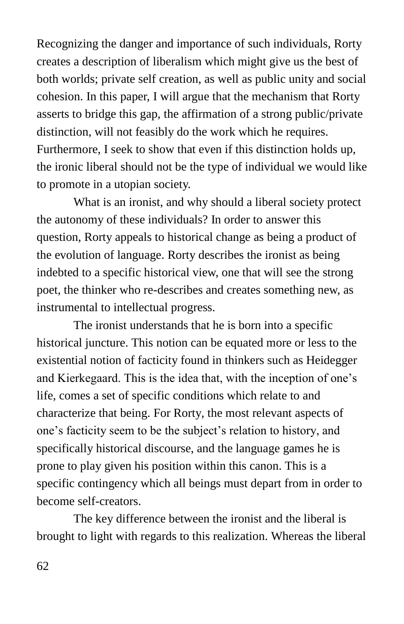Recognizing the danger and importance of such individuals, Rorty creates a description of liberalism which might give us the best of both worlds; private self creation, as well as public unity and social cohesion. In this paper, I will argue that the mechanism that Rorty asserts to bridge this gap, the affirmation of a strong public/private distinction, will not feasibly do the work which he requires. Furthermore, I seek to show that even if this distinction holds up, the ironic liberal should not be the type of individual we would like to promote in a utopian society.

What is an ironist, and why should a liberal society protect the autonomy of these individuals? In order to answer this question, Rorty appeals to historical change as being a product of the evolution of language. Rorty describes the ironist as being indebted to a specific historical view, one that will see the strong poet, the thinker who re-describes and creates something new, as instrumental to intellectual progress.

The ironist understands that he is born into a specific historical juncture. This notion can be equated more or less to the existential notion of facticity found in thinkers such as Heidegger and Kierkegaard. This is the idea that, with the inception of one's life, comes a set of specific conditions which relate to and characterize that being. For Rorty, the most relevant aspects of one's facticity seem to be the subject's relation to history, and specifically historical discourse, and the language games he is prone to play given his position within this canon. This is a specific contingency which all beings must depart from in order to become self-creators.

The key difference between the ironist and the liberal is brought to light with regards to this realization. Whereas the liberal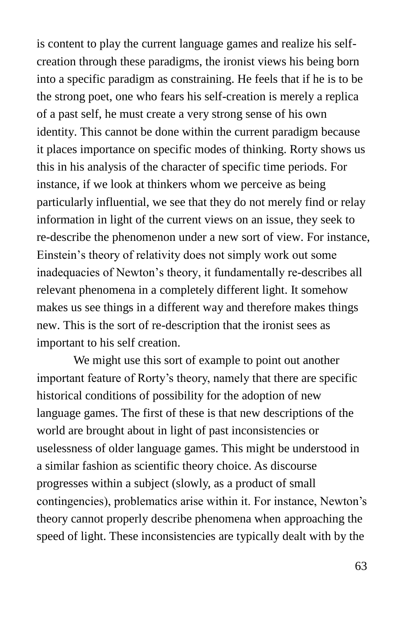is content to play the current language games and realize his selfcreation through these paradigms, the ironist views his being born into a specific paradigm as constraining. He feels that if he is to be the strong poet, one who fears his self-creation is merely a replica of a past self, he must create a very strong sense of his own identity. This cannot be done within the current paradigm because it places importance on specific modes of thinking. Rorty shows us this in his analysis of the character of specific time periods. For instance, if we look at thinkers whom we perceive as being particularly influential, we see that they do not merely find or relay information in light of the current views on an issue, they seek to re-describe the phenomenon under a new sort of view. For instance, Einstein's theory of relativity does not simply work out some inadequacies of Newton's theory, it fundamentally re-describes all relevant phenomena in a completely different light. It somehow makes us see things in a different way and therefore makes things new. This is the sort of re-description that the ironist sees as important to his self creation.

We might use this sort of example to point out another important feature of Rorty's theory, namely that there are specific historical conditions of possibility for the adoption of new language games. The first of these is that new descriptions of the world are brought about in light of past inconsistencies or uselessness of older language games. This might be understood in a similar fashion as scientific theory choice. As discourse progresses within a subject (slowly, as a product of small contingencies), problematics arise within it. For instance, Newton's theory cannot properly describe phenomena when approaching the speed of light. These inconsistencies are typically dealt with by the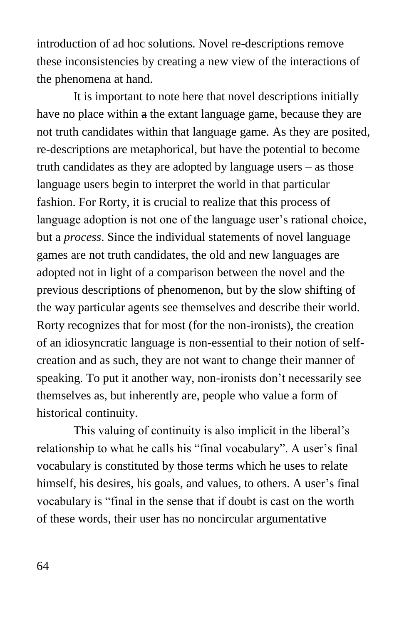introduction of ad hoc solutions. Novel re-descriptions remove these inconsistencies by creating a new view of the interactions of the phenomena at hand.

It is important to note here that novel descriptions initially have no place within a the extant language game, because they are not truth candidates within that language game. As they are posited, re-descriptions are metaphorical, but have the potential to become truth candidates as they are adopted by language users – as those language users begin to interpret the world in that particular fashion. For Rorty, it is crucial to realize that this process of language adoption is not one of the language user's rational choice, but a *process*. Since the individual statements of novel language games are not truth candidates, the old and new languages are adopted not in light of a comparison between the novel and the previous descriptions of phenomenon, but by the slow shifting of the way particular agents see themselves and describe their world. Rorty recognizes that for most (for the non-ironists), the creation of an idiosyncratic language is non-essential to their notion of selfcreation and as such, they are not want to change their manner of speaking. To put it another way, non-ironists don't necessarily see themselves as, but inherently are, people who value a form of historical continuity.

This valuing of continuity is also implicit in the liberal's relationship to what he calls his "final vocabulary". A user's final vocabulary is constituted by those terms which he uses to relate himself, his desires, his goals, and values, to others. A user's final vocabulary is "final in the sense that if doubt is cast on the worth of these words, their user has no noncircular argumentative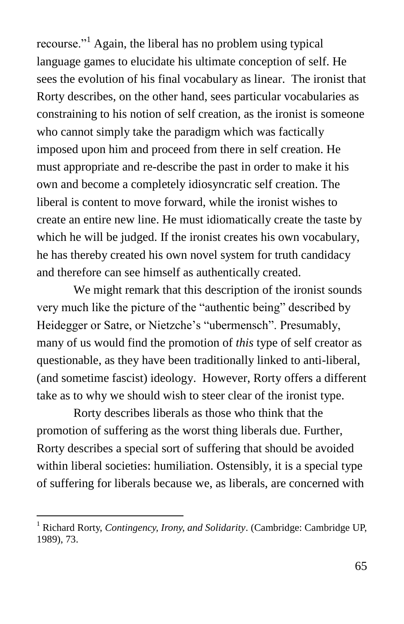recourse."<sup>1</sup> Again, the liberal has no problem using typical language games to elucidate his ultimate conception of self. He sees the evolution of his final vocabulary as linear. The ironist that Rorty describes, on the other hand, sees particular vocabularies as constraining to his notion of self creation, as the ironist is someone who cannot simply take the paradigm which was factically imposed upon him and proceed from there in self creation. He must appropriate and re-describe the past in order to make it his own and become a completely idiosyncratic self creation. The liberal is content to move forward, while the ironist wishes to create an entire new line. He must idiomatically create the taste by which he will be judged. If the ironist creates his own vocabulary, he has thereby created his own novel system for truth candidacy and therefore can see himself as authentically created.

We might remark that this description of the ironist sounds very much like the picture of the "authentic being" described by Heidegger or Satre, or Nietzche's "ubermensch". Presumably, many of us would find the promotion of *this* type of self creator as questionable, as they have been traditionally linked to anti-liberal, (and sometime fascist) ideology. However, Rorty offers a different take as to why we should wish to steer clear of the ironist type.

Rorty describes liberals as those who think that the promotion of suffering as the worst thing liberals due. Further, Rorty describes a special sort of suffering that should be avoided within liberal societies: humiliation. Ostensibly, it is a special type of suffering for liberals because we, as liberals, are concerned with

 $\overline{a}$ 

<sup>1</sup> Richard Rorty, *Contingency, Irony, and Solidarity*. (Cambridge: Cambridge UP, 1989), 73.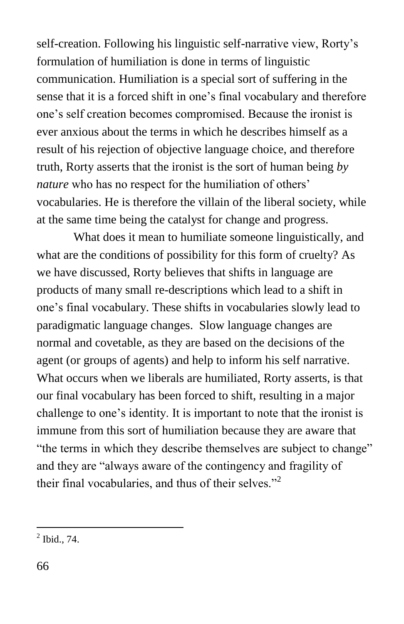self-creation. Following his linguistic self-narrative view, Rorty's formulation of humiliation is done in terms of linguistic communication. Humiliation is a special sort of suffering in the sense that it is a forced shift in one's final vocabulary and therefore one's self creation becomes compromised. Because the ironist is ever anxious about the terms in which he describes himself as a result of his rejection of objective language choice, and therefore truth, Rorty asserts that the ironist is the sort of human being *by nature* who has no respect for the humiliation of others' vocabularies. He is therefore the villain of the liberal society, while at the same time being the catalyst for change and progress.

What does it mean to humiliate someone linguistically, and what are the conditions of possibility for this form of cruelty? As we have discussed, Rorty believes that shifts in language are products of many small re-descriptions which lead to a shift in one's final vocabulary. These shifts in vocabularies slowly lead to paradigmatic language changes. Slow language changes are normal and covetable, as they are based on the decisions of the agent (or groups of agents) and help to inform his self narrative. What occurs when we liberals are humiliated, Rorty asserts, is that our final vocabulary has been forced to shift, resulting in a major challenge to one's identity. It is important to note that the ironist is immune from this sort of humiliation because they are aware that "the terms in which they describe themselves are subject to change" and they are "always aware of the contingency and fragility of their final vocabularies, and thus of their selves. $^{2}$ 

 $\frac{1}{2}$  Ibid., 74.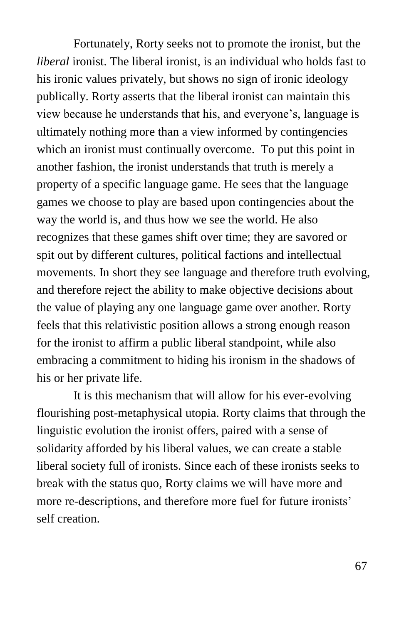Fortunately, Rorty seeks not to promote the ironist, but the *liberal* ironist. The liberal ironist, is an individual who holds fast to his ironic values privately, but shows no sign of ironic ideology publically. Rorty asserts that the liberal ironist can maintain this view because he understands that his, and everyone's, language is ultimately nothing more than a view informed by contingencies which an ironist must continually overcome. To put this point in another fashion, the ironist understands that truth is merely a property of a specific language game. He sees that the language games we choose to play are based upon contingencies about the way the world is, and thus how we see the world. He also recognizes that these games shift over time; they are savored or spit out by different cultures, political factions and intellectual movements. In short they see language and therefore truth evolving, and therefore reject the ability to make objective decisions about the value of playing any one language game over another. Rorty feels that this relativistic position allows a strong enough reason for the ironist to affirm a public liberal standpoint, while also embracing a commitment to hiding his ironism in the shadows of his or her private life.

It is this mechanism that will allow for his ever-evolving flourishing post-metaphysical utopia. Rorty claims that through the linguistic evolution the ironist offers, paired with a sense of solidarity afforded by his liberal values, we can create a stable liberal society full of ironists. Since each of these ironists seeks to break with the status quo, Rorty claims we will have more and more re-descriptions, and therefore more fuel for future ironists' self creation.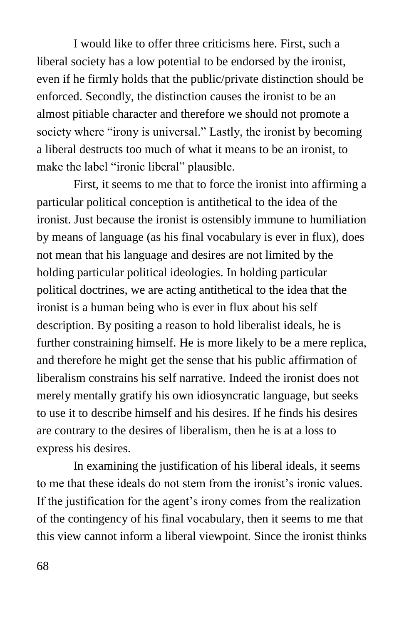I would like to offer three criticisms here. First, such a liberal society has a low potential to be endorsed by the ironist, even if he firmly holds that the public/private distinction should be enforced. Secondly, the distinction causes the ironist to be an almost pitiable character and therefore we should not promote a society where "irony is universal." Lastly, the ironist by becoming a liberal destructs too much of what it means to be an ironist, to make the label "ironic liberal" plausible.

First, it seems to me that to force the ironist into affirming a particular political conception is antithetical to the idea of the ironist. Just because the ironist is ostensibly immune to humiliation by means of language (as his final vocabulary is ever in flux), does not mean that his language and desires are not limited by the holding particular political ideologies. In holding particular political doctrines, we are acting antithetical to the idea that the ironist is a human being who is ever in flux about his self description. By positing a reason to hold liberalist ideals, he is further constraining himself. He is more likely to be a mere replica, and therefore he might get the sense that his public affirmation of liberalism constrains his self narrative. Indeed the ironist does not merely mentally gratify his own idiosyncratic language, but seeks to use it to describe himself and his desires. If he finds his desires are contrary to the desires of liberalism, then he is at a loss to express his desires.

In examining the justification of his liberal ideals, it seems to me that these ideals do not stem from the ironist's ironic values. If the justification for the agent's irony comes from the realization of the contingency of his final vocabulary, then it seems to me that this view cannot inform a liberal viewpoint. Since the ironist thinks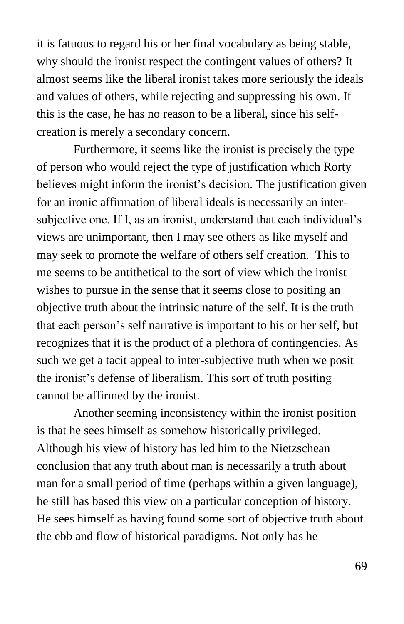it is fatuous to regard his or her final vocabulary as being stable, why should the ironist respect the contingent values of others? It almost seems like the liberal ironist takes more seriously the ideals and values of others, while rejecting and suppressing his own. If this is the case, he has no reason to be a liberal, since his selfcreation is merely a secondary concern.

Furthermore, it seems like the ironist is precisely the type of person who would reject the type of justification which Rorty believes might inform the ironist's decision. The justification given for an ironic affirmation of liberal ideals is necessarily an intersubjective one. If I, as an ironist, understand that each individual's views are unimportant, then I may see others as like myself and may seek to promote the welfare of others self creation. This to me seems to be antithetical to the sort of view which the ironist wishes to pursue in the sense that it seems close to positing an objective truth about the intrinsic nature of the self. It is the truth that each person's self narrative is important to his or her self, but recognizes that it is the product of a plethora of contingencies. As such we get a tacit appeal to inter-subjective truth when we posit the ironist's defense of liberalism. This sort of truth positing cannot be affirmed by the ironist.

Another seeming inconsistency within the ironist position is that he sees himself as somehow historically privileged. Although his view of history has led him to the Nietzschean conclusion that any truth about man is necessarily a truth about man for a small period of time (perhaps within a given language), he still has based this view on a particular conception of history. He sees himself as having found some sort of objective truth about the ebb and flow of historical paradigms. Not only has he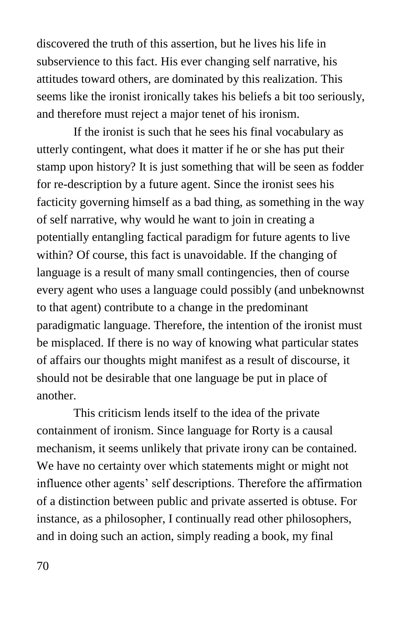discovered the truth of this assertion, but he lives his life in subservience to this fact. His ever changing self narrative, his attitudes toward others, are dominated by this realization. This seems like the ironist ironically takes his beliefs a bit too seriously, and therefore must reject a major tenet of his ironism.

If the ironist is such that he sees his final vocabulary as utterly contingent, what does it matter if he or she has put their stamp upon history? It is just something that will be seen as fodder for re-description by a future agent. Since the ironist sees his facticity governing himself as a bad thing, as something in the way of self narrative, why would he want to join in creating a potentially entangling factical paradigm for future agents to live within? Of course, this fact is unavoidable. If the changing of language is a result of many small contingencies, then of course every agent who uses a language could possibly (and unbeknownst to that agent) contribute to a change in the predominant paradigmatic language. Therefore, the intention of the ironist must be misplaced. If there is no way of knowing what particular states of affairs our thoughts might manifest as a result of discourse, it should not be desirable that one language be put in place of another.

This criticism lends itself to the idea of the private containment of ironism. Since language for Rorty is a causal mechanism, it seems unlikely that private irony can be contained. We have no certainty over which statements might or might not influence other agents' self descriptions. Therefore the affirmation of a distinction between public and private asserted is obtuse. For instance, as a philosopher, I continually read other philosophers, and in doing such an action, simply reading a book, my final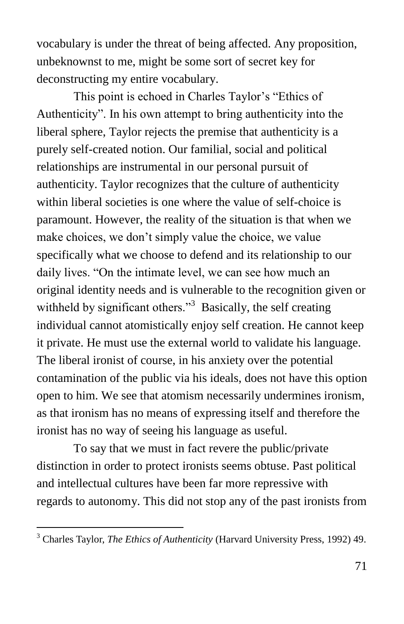vocabulary is under the threat of being affected. Any proposition, unbeknownst to me, might be some sort of secret key for deconstructing my entire vocabulary.

This point is echoed in Charles Taylor's "Ethics of Authenticity". In his own attempt to bring authenticity into the liberal sphere, Taylor rejects the premise that authenticity is a purely self-created notion. Our familial, social and political relationships are instrumental in our personal pursuit of authenticity. Taylor recognizes that the culture of authenticity within liberal societies is one where the value of self-choice is paramount. However, the reality of the situation is that when we make choices, we don't simply value the choice, we value specifically what we choose to defend and its relationship to our daily lives. "On the intimate level, we can see how much an original identity needs and is vulnerable to the recognition given or withheld by significant others."<sup>3</sup> Basically, the self creating individual cannot atomistically enjoy self creation. He cannot keep it private. He must use the external world to validate his language. The liberal ironist of course, in his anxiety over the potential contamination of the public via his ideals, does not have this option open to him. We see that atomism necessarily undermines ironism, as that ironism has no means of expressing itself and therefore the ironist has no way of seeing his language as useful.

To say that we must in fact revere the public/private distinction in order to protect ironists seems obtuse. Past political and intellectual cultures have been far more repressive with regards to autonomy. This did not stop any of the past ironists from

 $\overline{a}$ 

<sup>3</sup> Charles Taylor, *The Ethics of Authenticity* (Harvard University Press, 1992) 49.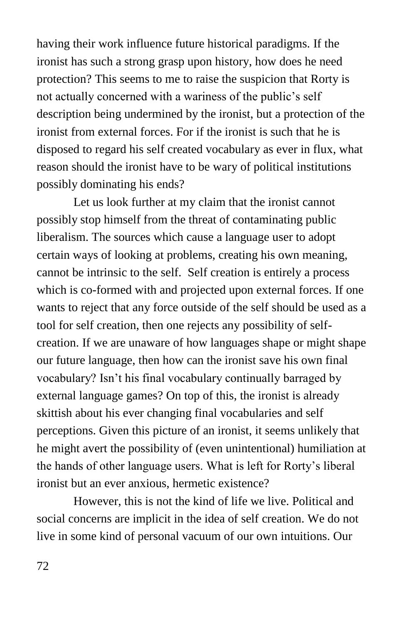having their work influence future historical paradigms. If the ironist has such a strong grasp upon history, how does he need protection? This seems to me to raise the suspicion that Rorty is not actually concerned with a wariness of the public's self description being undermined by the ironist, but a protection of the ironist from external forces. For if the ironist is such that he is disposed to regard his self created vocabulary as ever in flux, what reason should the ironist have to be wary of political institutions possibly dominating his ends?

Let us look further at my claim that the ironist cannot possibly stop himself from the threat of contaminating public liberalism. The sources which cause a language user to adopt certain ways of looking at problems, creating his own meaning, cannot be intrinsic to the self. Self creation is entirely a process which is co-formed with and projected upon external forces. If one wants to reject that any force outside of the self should be used as a tool for self creation, then one rejects any possibility of selfcreation. If we are unaware of how languages shape or might shape our future language, then how can the ironist save his own final vocabulary? Isn't his final vocabulary continually barraged by external language games? On top of this, the ironist is already skittish about his ever changing final vocabularies and self perceptions. Given this picture of an ironist, it seems unlikely that he might avert the possibility of (even unintentional) humiliation at the hands of other language users. What is left for Rorty's liberal ironist but an ever anxious, hermetic existence?

However, this is not the kind of life we live. Political and social concerns are implicit in the idea of self creation. We do not live in some kind of personal vacuum of our own intuitions. Our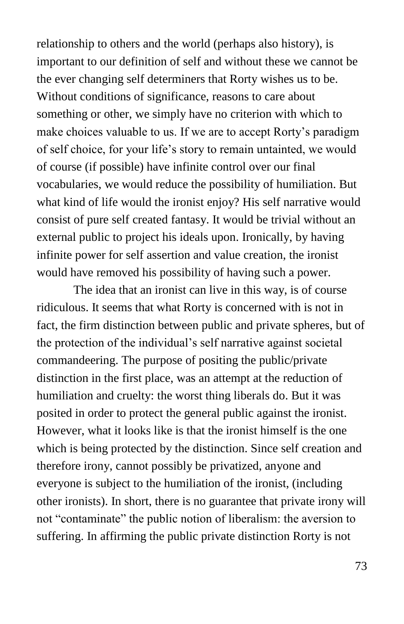relationship to others and the world (perhaps also history), is important to our definition of self and without these we cannot be the ever changing self determiners that Rorty wishes us to be. Without conditions of significance, reasons to care about something or other, we simply have no criterion with which to make choices valuable to us. If we are to accept Rorty's paradigm of self choice, for your life's story to remain untainted, we would of course (if possible) have infinite control over our final vocabularies, we would reduce the possibility of humiliation. But what kind of life would the ironist enjoy? His self narrative would consist of pure self created fantasy. It would be trivial without an external public to project his ideals upon. Ironically, by having infinite power for self assertion and value creation, the ironist would have removed his possibility of having such a power.

The idea that an ironist can live in this way, is of course ridiculous. It seems that what Rorty is concerned with is not in fact, the firm distinction between public and private spheres, but of the protection of the individual's self narrative against societal commandeering. The purpose of positing the public/private distinction in the first place, was an attempt at the reduction of humiliation and cruelty: the worst thing liberals do. But it was posited in order to protect the general public against the ironist. However, what it looks like is that the ironist himself is the one which is being protected by the distinction. Since self creation and therefore irony, cannot possibly be privatized, anyone and everyone is subject to the humiliation of the ironist, (including other ironists). In short, there is no guarantee that private irony will not "contaminate" the public notion of liberalism: the aversion to suffering. In affirming the public private distinction Rorty is not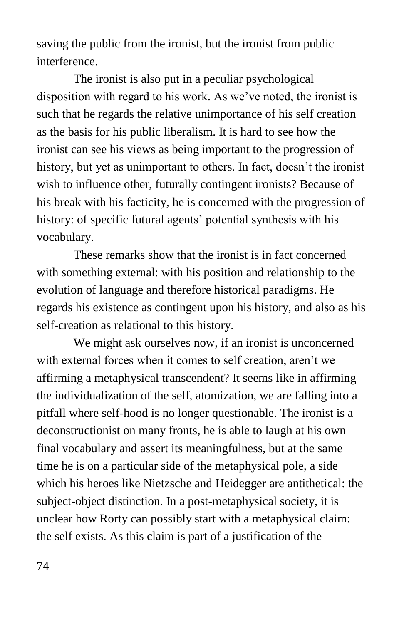saving the public from the ironist, but the ironist from public interference.

The ironist is also put in a peculiar psychological disposition with regard to his work. As we've noted, the ironist is such that he regards the relative unimportance of his self creation as the basis for his public liberalism. It is hard to see how the ironist can see his views as being important to the progression of history, but yet as unimportant to others. In fact, doesn't the ironist wish to influence other, futurally contingent ironists? Because of his break with his facticity, he is concerned with the progression of history: of specific futural agents' potential synthesis with his vocabulary.

These remarks show that the ironist is in fact concerned with something external: with his position and relationship to the evolution of language and therefore historical paradigms. He regards his existence as contingent upon his history, and also as his self-creation as relational to this history.

We might ask ourselves now, if an ironist is unconcerned with external forces when it comes to self creation, aren't we affirming a metaphysical transcendent? It seems like in affirming the individualization of the self, atomization, we are falling into a pitfall where self-hood is no longer questionable. The ironist is a deconstructionist on many fronts, he is able to laugh at his own final vocabulary and assert its meaningfulness, but at the same time he is on a particular side of the metaphysical pole, a side which his heroes like Nietzsche and Heidegger are antithetical: the subject-object distinction. In a post-metaphysical society, it is unclear how Rorty can possibly start with a metaphysical claim: the self exists. As this claim is part of a justification of the

74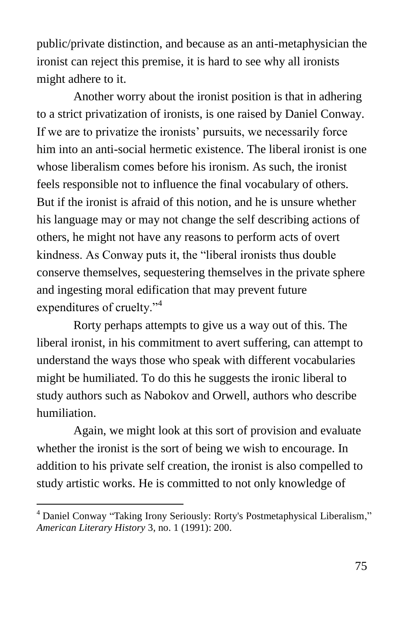public/private distinction, and because as an anti-metaphysician the ironist can reject this premise, it is hard to see why all ironists might adhere to it.

Another worry about the ironist position is that in adhering to a strict privatization of ironists, is one raised by Daniel Conway. If we are to privatize the ironists' pursuits, we necessarily force him into an anti-social hermetic existence. The liberal ironist is one whose liberalism comes before his ironism. As such, the ironist feels responsible not to influence the final vocabulary of others. But if the ironist is afraid of this notion, and he is unsure whether his language may or may not change the self describing actions of others, he might not have any reasons to perform acts of overt kindness. As Conway puts it, the "liberal ironists thus double conserve themselves, sequestering themselves in the private sphere and ingesting moral edification that may prevent future expenditures of cruelty."<sup>4</sup>

Rorty perhaps attempts to give us a way out of this. The liberal ironist, in his commitment to avert suffering, can attempt to understand the ways those who speak with different vocabularies might be humiliated. To do this he suggests the ironic liberal to study authors such as Nabokov and Orwell, authors who describe humiliation.

Again, we might look at this sort of provision and evaluate whether the ironist is the sort of being we wish to encourage. In addition to his private self creation, the ironist is also compelled to study artistic works. He is committed to not only knowledge of

 $\overline{a}$ 

<sup>&</sup>lt;sup>4</sup> Daniel Conway "Taking Irony Seriously: Rorty's Postmetaphysical Liberalism," *American Literary History* 3, no. 1 (1991): 200.